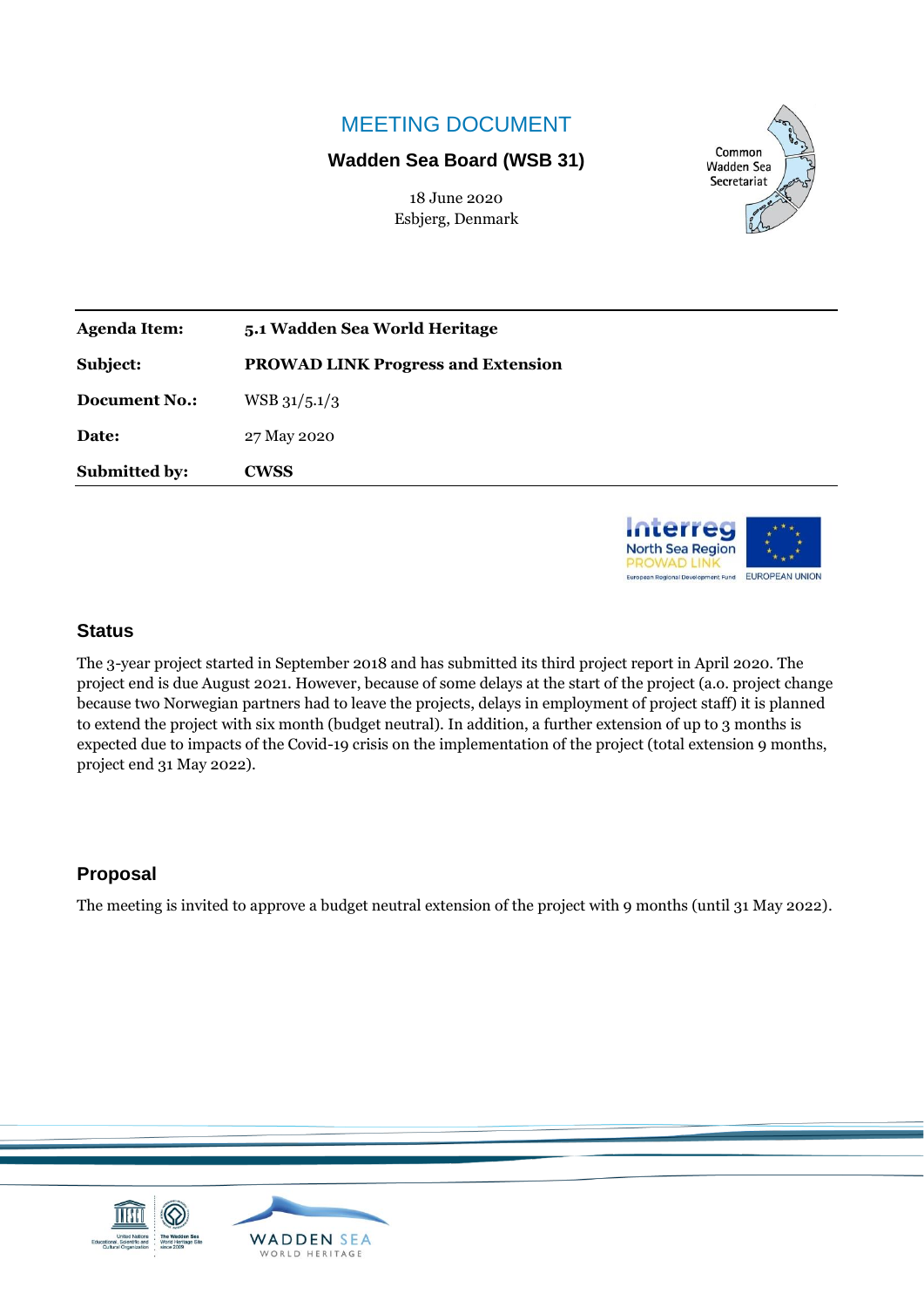## MEETING DOCUMENT

### **Wadden Sea Board (WSB 31)**

18 June 2020 Esbjerg, Denmark



| <b>Agenda Item:</b>  | 5.1 Wadden Sea World Heritage      |
|----------------------|------------------------------------|
| Subject:             | PROWAD LINK Progress and Extension |
| <b>Document No.:</b> | $WSB$ 31/5.1/3                     |
| Date:                | 27 May 2020                        |
| <b>Submitted by:</b> | <b>CWSS</b>                        |



### **Status**

The 3-year project started in September 2018 and has submitted its third project report in April 2020. The project end is due August 2021. However, because of some delays at the start of the project (a.o. project change because two Norwegian partners had to leave the projects, delays in employment of project staff) it is planned to extend the project with six month (budget neutral). In addition, a further extension of up to 3 months is expected due to impacts of the Covid-19 crisis on the implementation of the project (total extension 9 months, project end 31 May 2022).

### **Proposal**

The meeting is invited to approve a budget neutral extension of the project with 9 months (until 31 May 2022).